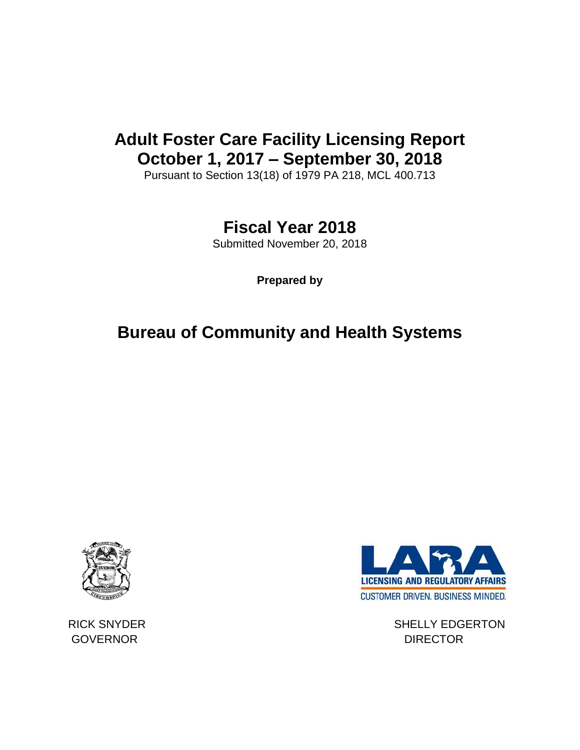# **Adult Foster Care Facility Licensing Report October 1, 2017 – September 30, 2018**

Pursuant to Section 13(18) of 1979 PA 218, MCL 400.713

# **Fiscal Year 2018**

Submitted November 20, 2018

**Prepared by**

# **Bureau of Community and Health Systems**





RICK SNYDER SHELLY EDGERTON

GOVERNOR DIRECTOR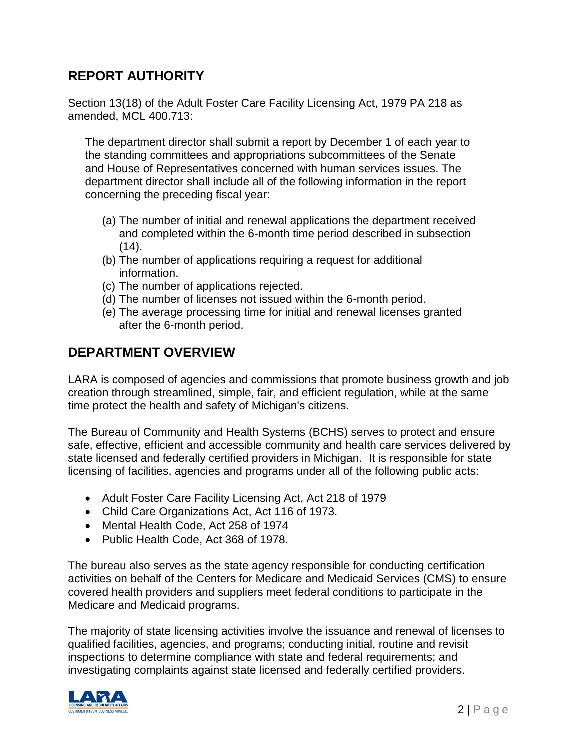## **REPORT AUTHORITY**

Section 13(18) of the Adult Foster Care Facility Licensing Act, 1979 PA 218 as amended, MCL 400.713:

The department director shall submit a report by December 1 of each year to the standing committees and appropriations subcommittees of the Senate and House of Representatives concerned with human services issues. The department director shall include all of the following information in the report concerning the preceding fiscal year:

- (a) The number of initial and renewal applications the department received and completed within the 6-month time period described in subsection  $(14)$ .
- (b) The number of applications requiring a request for additional information.
- (c) The number of applications rejected.
- (d) The number of licenses not issued within the 6-month period.
- (e) The average processing time for initial and renewal licenses granted after the 6-month period.

## **DEPARTMENT OVERVIEW**

LARA is composed of agencies and commissions that promote business growth and job creation through streamlined, simple, fair, and efficient regulation, while at the same time protect the health and safety of Michigan's citizens.

The Bureau of Community and Health Systems (BCHS) serves to protect and ensure safe, effective, efficient and accessible community and health care services delivered by state licensed and federally certified providers in Michigan. It is responsible for state licensing of facilities, agencies and programs under all of the following public acts:

- Adult Foster Care Facility Licensing Act, Act 218 of 1979
- Child Care Organizations Act, Act 116 of 1973.
- Mental Health Code, Act 258 of 1974
- Public Health Code, Act 368 of 1978.

The bureau also serves as the state agency responsible for conducting certification activities on behalf of the Centers for Medicare and Medicaid Services (CMS) to ensure covered health providers and suppliers meet federal conditions to participate in the Medicare and Medicaid programs.

The majority of state licensing activities involve the issuance and renewal of licenses to qualified facilities, agencies, and programs; conducting initial, routine and revisit inspections to determine compliance with state and federal requirements; and investigating complaints against state licensed and federally certified providers.

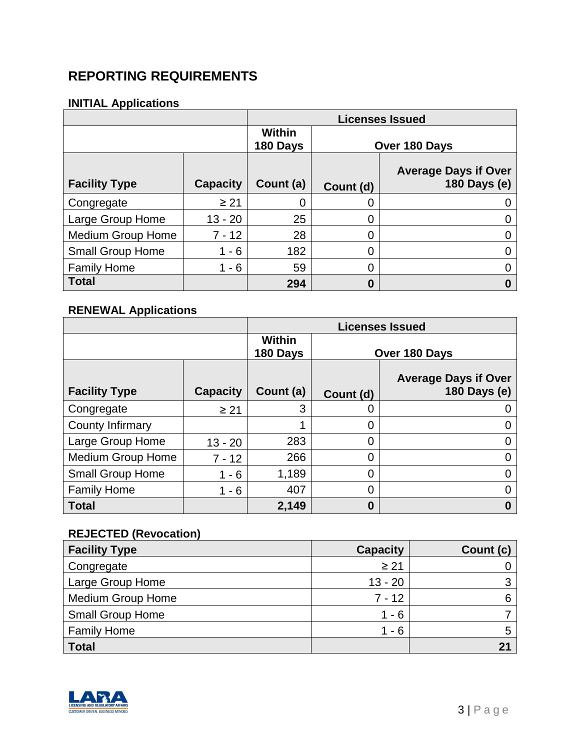## **REPORTING REQUIREMENTS**

#### **INITIAL Applications**

|                          |                 |                           |               | <b>Licenses Issued</b>                      |
|--------------------------|-----------------|---------------------------|---------------|---------------------------------------------|
|                          |                 | <b>Within</b><br>180 Days | Over 180 Days |                                             |
| <b>Facility Type</b>     | <b>Capacity</b> | Count (a)                 | Count (d)     | <b>Average Days if Over</b><br>180 Days (e) |
| Congregate               | $\geq 21$       |                           | 0             |                                             |
| Large Group Home         | $13 - 20$       | 25                        | 0             |                                             |
| <b>Medium Group Home</b> | $7 - 12$        | 28                        | 0             |                                             |
| <b>Small Group Home</b>  | $-6$            | 182                       | 0             |                                             |
| <b>Family Home</b>       | $-6$            | 59                        | 0             |                                             |
| <b>Total</b>             |                 | 294                       | 0             |                                             |

## **RENEWAL Applications**

|                          |                 | <b>Licenses Issued</b>    |                |                                             |
|--------------------------|-----------------|---------------------------|----------------|---------------------------------------------|
|                          |                 | <b>Within</b><br>180 Days | Over 180 Days  |                                             |
| <b>Facility Type</b>     | <b>Capacity</b> | Count (a)                 | Count (d)      | <b>Average Days if Over</b><br>180 Days (e) |
| Congregate               | $\geq 21$       | 3                         | 0              |                                             |
| County Infirmary         |                 |                           | 0              |                                             |
| Large Group Home         | $13 - 20$       | 283                       | $\overline{0}$ |                                             |
| <b>Medium Group Home</b> | $7 - 12$        | 266                       | $\overline{0}$ |                                             |
| <b>Small Group Home</b>  | $1 - 6$         | 1,189                     | $\overline{0}$ |                                             |
| <b>Family Home</b>       | $1 - 6$         | 407                       | $\overline{0}$ |                                             |
| <b>Total</b>             |                 | 2,149                     | $\bf{0}$       | 0                                           |

## **REJECTED (Revocation)**

| <b>Facility Type</b>     | <b>Capacity</b> | Count (c) |
|--------------------------|-----------------|-----------|
| Congregate               | $\geq 21$       |           |
| Large Group Home         | $13 - 20$       | 3         |
| <b>Medium Group Home</b> | $7 - 12$        |           |
| <b>Small Group Home</b>  | $1 - 6$         |           |
| <b>Family Home</b>       | 1 - 6           |           |
| <b>Total</b>             |                 |           |